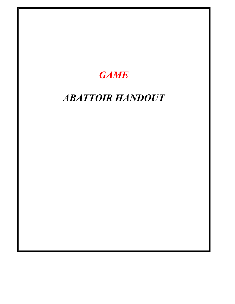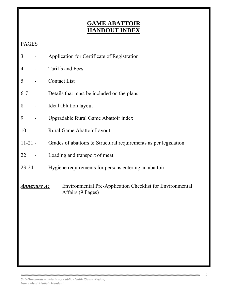# **GAME ABATTOIR HANDOUT INDEX**

# PAGES

- 3 Application for Certificate of Registration
- 4 Tariffs and Fees
- 5 Contact List
- 6-7 Details that must be included on the plans
- 8 Ideal ablution layout
- 9 Upgradable Rural Game Abattoir index
- 10 Rural Game Abattoir Layout
- 11-21 Grades of abattoirs & Structural requirements as per legislation
- 22 Loading and transport of meat
- 23-24 Hygiene requirements for persons entering an abattoir
- *Annexure A:* Environmental Pre-Application Checklist for Environmental Affairs (9 Pages)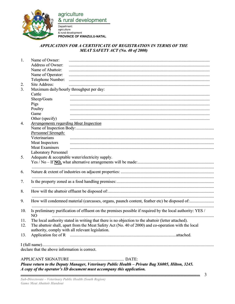

agriculture & rural development

Department: agriculture & rural development PROVINCE OF KWAZULU-NATAL

#### APPLICATION FOR A CERTIFICATE OF REGISTRATION IN TERMS OF THE **MEAT SAFETY ACT (No. 40 of 2000)**

| 1.  | Name of Owner:                                                                                                                                          |                                                                                                            |  |  |  |
|-----|---------------------------------------------------------------------------------------------------------------------------------------------------------|------------------------------------------------------------------------------------------------------------|--|--|--|
|     | Address of Owner:                                                                                                                                       |                                                                                                            |  |  |  |
|     | Name of Abattoir:                                                                                                                                       |                                                                                                            |  |  |  |
|     | Name of Operator:                                                                                                                                       |                                                                                                            |  |  |  |
|     | Telephone Number:                                                                                                                                       |                                                                                                            |  |  |  |
| 2.  | Site Address:                                                                                                                                           |                                                                                                            |  |  |  |
| 3.  | Maximum daily/hourly throughput per day:                                                                                                                |                                                                                                            |  |  |  |
|     | Cattle                                                                                                                                                  |                                                                                                            |  |  |  |
|     | Sheep/Goats                                                                                                                                             |                                                                                                            |  |  |  |
|     | Pigs                                                                                                                                                    |                                                                                                            |  |  |  |
|     | Poultry                                                                                                                                                 |                                                                                                            |  |  |  |
|     | Game                                                                                                                                                    |                                                                                                            |  |  |  |
|     | Other (specify)                                                                                                                                         |                                                                                                            |  |  |  |
| 4.  |                                                                                                                                                         | <b>Arrangements regarding Meat Inspection</b>                                                              |  |  |  |
|     |                                                                                                                                                         |                                                                                                            |  |  |  |
|     | <b>Personnel Strength:</b>                                                                                                                              |                                                                                                            |  |  |  |
|     | Veterinarians                                                                                                                                           |                                                                                                            |  |  |  |
|     | Meat Inspectors                                                                                                                                         |                                                                                                            |  |  |  |
|     | <b>Meat Examiners</b>                                                                                                                                   |                                                                                                            |  |  |  |
|     | <b>Laboratory Personnel</b>                                                                                                                             |                                                                                                            |  |  |  |
| 5.  |                                                                                                                                                         | Adequate & acceptable water/electricity supply.                                                            |  |  |  |
|     |                                                                                                                                                         |                                                                                                            |  |  |  |
|     |                                                                                                                                                         |                                                                                                            |  |  |  |
| 6.  |                                                                                                                                                         |                                                                                                            |  |  |  |
| 7.  |                                                                                                                                                         |                                                                                                            |  |  |  |
|     |                                                                                                                                                         |                                                                                                            |  |  |  |
| 8.  |                                                                                                                                                         |                                                                                                            |  |  |  |
| 9.  |                                                                                                                                                         |                                                                                                            |  |  |  |
|     |                                                                                                                                                         |                                                                                                            |  |  |  |
| 10. |                                                                                                                                                         | Is preliminary purification of effluent on the premises possible if required by the local authority: YES / |  |  |  |
|     | NO.                                                                                                                                                     |                                                                                                            |  |  |  |
| 11. |                                                                                                                                                         | The local authority stated in writing that there is no objection to the abattoir (letter attached).        |  |  |  |
| 12. | The abattoir shall, apart from the Meat Safety Act (No. 40 of 2000) and co-operation with the local<br>authority, comply with all relevant legislation. |                                                                                                            |  |  |  |
| 13. |                                                                                                                                                         |                                                                                                            |  |  |  |
|     |                                                                                                                                                         |                                                                                                            |  |  |  |
|     | declare that the above information is correct.                                                                                                          |                                                                                                            |  |  |  |
|     |                                                                                                                                                         |                                                                                                            |  |  |  |

Please return to the Deputy Manager, Veterinary Public Health - Private Bag X6005, Hilton, 3245. A copy of the operator's ID document must accompany this application.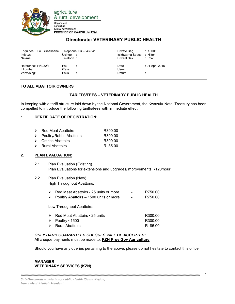

agriculture & rural development

Department: agriculture & rural development PROVINCE OF KWAZULU-NATAL

## **Directorate: VETERINARY PUBLIC HEALTH**

| Enquiries: T.A. Sikhakhane Telephone: 033-343 8418<br>Imibuzo:<br>Navrae : | Ucingo<br>Telefoon:   | Private Bag<br>Isikhwama Seposi : Hilton<br>Privaat Sak | : X6005<br>: 3245 |
|----------------------------------------------------------------------------|-----------------------|---------------------------------------------------------|-------------------|
| Reference: 11/3/32/1<br>Inkomba:<br>Verwysing:                             | Fax<br>iFeksi<br>Faks | Date<br>Usuku<br>Datum                                  | : 01 April 2015   |

#### **TO ALL ABATTOIR OWNERS**

#### **TARIFFS/FEES – VETERINARY PUBLIC HEALTH**

In keeping with a tariff structure laid down by the National Government, the Kwazulu-Natal Treasury has been compelled to introduce the following tariffs/fees with immediate effect:

#### **1. CERTIFICATE OF REGISTRATION:**

| $\triangleright$ Red Meat Abattoirs       | R390.00 |
|-------------------------------------------|---------|
| $\triangleright$ Poultry/Rabbit Abattoirs | R390.00 |
| $\triangleright$ Ostrich Abattoirs        | R390.00 |
| $\triangleright$ Rural Abattoirs          | R 85.00 |
|                                           |         |

#### **2. PLAN EVALUATION:**

- 2.1 Plan Evaluation (Existing) Plan Evaluations for extensions and upgrades/improvements R120/hour.
- 2.2 Plan Evaluation (New) High Throughout Abattoirs:

| Red Meat Abattoirs - 25 units or more                   | $\overline{\phantom{0}}$ | R750.00 |
|---------------------------------------------------------|--------------------------|---------|
| $\triangleright$ Poultry Abattoirs – 1500 units or more | $\overline{\phantom{0}}$ | R750.00 |

Low Throughput Abattoirs:

| $\triangleright$ Red Meat Abattoirs <25 units | $\overline{\phantom{0}}$ | R300.00 |
|-----------------------------------------------|--------------------------|---------|
| $\triangleright$ Poultry <1500                | $\overline{\phantom{0}}$ | R300.00 |
| $\triangleright$ Rural Abattoirs              | $\sim$                   | R 85.00 |

#### *ONLY BANK GUARANTEED CHEQUES WILL BE ACCEPTED!*  All cheque payments must be made to: **KZN Prov Gov Agriculture**

Should you have any queries pertaining to the above, please do not hesitate to contact this office.

#### **MANAGER VETERINARY SERVICES (KZN)**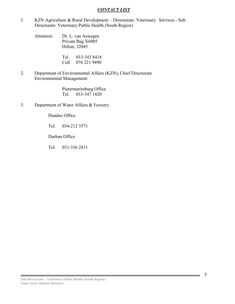#### *CONTACT LIST*

1. KZN Agriculture & Rural Development – Directorate: Veterinary Services - Sub Directorate: Veterinary Public Health (South Region)

 Attention: Dr. L. van Aswegen Private Bag X6005 Hilton, 32045

> Tel. 033-343 8418 Cell 076 221 9490

2. Department of Environmental Affairs (KZN), Chief Directorate Environmental Management:

> Pietermaritzburg Office Tel. 033-347 1820

3. Department of Water Affairs & Forestry

Dundee Office

Tel. 034-212 3571

Durban Office

Tel. 031-336 2811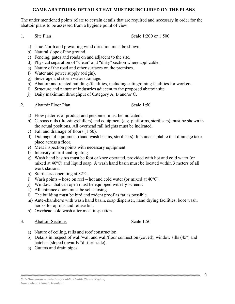#### **GAME ABATTOIRS: DETAILS THAT MUST BE INCLUDED ON THE PLANS**

The under mentioned points relate to certain details that are required and necessary in order for the abattoir plans to be assessed from a hygiene point of view.

1. Site Plan Scale 1:200 or 1:500

- a) True North and prevailing wind direction must be shown.
- b) Natural slope of the ground.
- c) Fencing, gates and roads on and adjacent to the site.
- d) Physical separation of "clean" and "dirty" section where applicable.
- e) Nature of the road and other surfaces on the premises.
- f) Water and power supply (origin).
- g) Sewerage and storm water drainage.
- h) Abattoir and related buildings/facilities, including eating/dining facilities for workers.
- i) Structure and nature of industries adjacent to the proposed abattoir site.
- j) Daily maximum throughput of Category A, B and/or C.
- 2. Abattoir Floor Plan Scale 1:50

- a) Flow patterns of product and personnel must be indicated.
- b) Carcass rails (dressing/chillers) and equipment (e.g. platforms, sterilisers) must be shown in the actual positions. All overhead rail heights must be indicated.
- c) Fall and drainage of floors (1:60).
- d) Drainage of equipment (hand wash basins, sterilisers). It is unacceptable that drainage take place across a floor.
- e) Meat inspection points with necessary equipment.
- f) Intensity of artificial lighting.
- g) Wash hand basin/s must be foot or knee operated, provided with hot and cold water (or mixed at 40ºC) and liquid soap. A wash hand basin must be located within 3 meters of all work stations.
- h) Steriliser/s operating at 82ºC.
- i) Wash points hose on reel hot and cold water (or mixed at  $40^{\circ}$ C).
- j) Windows that can open must be equipped with fly-screens.
- k) All entrance doors must be self-closing.
- l) The building must be bird and rodent proof as far as possible.
- m) Ante-chamber/s with wash hand basin, soap dispenser, hand drying facilities, boot wash, hooks for aprons and refuse bin.
- n) Overhead cold wash after meat inspection.
- 3. Abattoir Sections Scale 1:50

- a) Nature of ceiling, rails and roof construction.
- b) Details in respect of wall/wall and wall/floor connection (coved), window sills (45º) and hatches (sloped towards "dirtier" side).
- c) Gutters and drain pipes.

6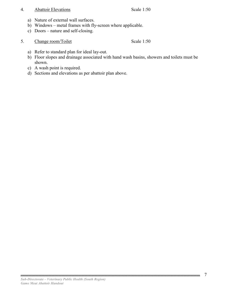#### 4. Abattoir Elevations Scale 1:50

- a) Nature of external wall surfaces.
- b) Windows metal frames with fly-screen where applicable.
- c) Doors nature and self-closing.
- 5. Change room/Toilet Scale 1:50

- a) Refer to standard plan for ideal lay-out.
- b) Floor slopes and drainage associated with hand wash basins, showers and toilets must be shown.
- c) A wash point is required.
- d) Sections and elevations as per abattoir plan above.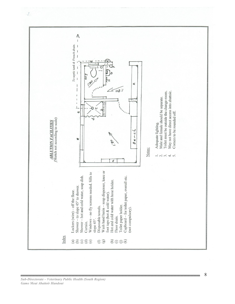

8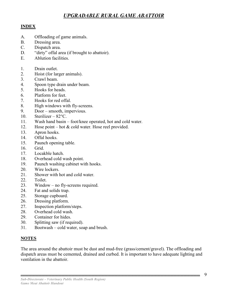# *UPGRADABLE RURAL GAME ABATTOIR*

## **INDEX**

- A. Offloading of game animals.
- B. Dressing area.
- C. Dispatch area.
- D. "dirty" offal area (if brought to abattoir).
- E. Ablution facilities.
- 1. Drain outlet.
- 2. Hoist (for larger animals).
- 3. Crawl beam.
- 4. Spoon type drain under beam.
- 5. Hooks for heads.
- 6. Platform for feet.
- 7. Hooks for red offal.
- 8. High windows with fly-screens.
- 9. Door smooth, impervious.
- 10. Sterilizer 82°C.
- 11. Wash hand basin foot/knee operated, hot and cold water.
- 12. Hose point hot & cold water. Hose reel provided.
- 13. Apron hooks.
- 14. Offal hooks.
- 15. Paunch opening table.
- 16. Grid.
- 17. Locakble hatch.
- 18. Overhead cold wash point.
- 19. Paunch washing cabinet with hooks.
- 20. Wire lockers.
- 21. Shower with hot and cold water.
- 22. Toilet.
- 23. Window no fly-screens required.
- 24. Fat and solids trap.
- 25. Storage cupboard.
- 26. Dressing platform.
- 27. Inspection platform/steps.
- 28. Overhead cold wash.
- 29. Container for hides.
- 30. Splitting saw (if required).
- 31. Bootwash cold water, soap and brush.

## **NOTES**

The area around the abattoir must be dust and mud-free (grass/cement/gravel). The offloading and dispatch areas must be cemented, drained and curbed. It is important to have adequate lighting and ventilation in the abattoir.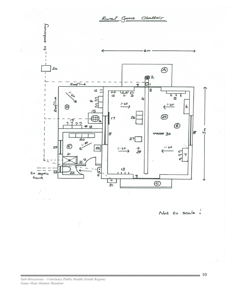

Not to scale !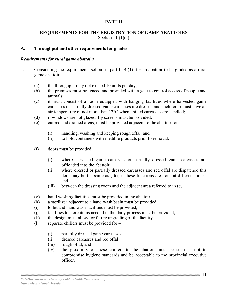## **PART II**

## **REQUIREMENTS FOR THE REGISTRATION OF GAME ABATTOIRS**

[Section 11.(1)(a)]

#### **A. Throughput and other requirements for grades**

#### *Requirements for rural game abattoirs*

- 4. Considering the requirements set out in part II B (1), for an abattoir to be graded as a rural game abattoir –
	- (a) the throughput may not exceed 10 units per day;
	- (b) the premises must be fenced and provided with a gate to control access of people and animals;
	- (c) it must consist of a room equipped with hanging facilities where harvested game carcasses or partially dressed game carcasses are dressed and such room must have an air temperature of not more than 12°C when chilled carcasses are handled;
	- (d) if windows are not glazed, fly screens must be provided;
	- (e) curbed and drained areas, must be provided adjacent to the abattoir for
		- (i) handling, washing and keeping rough offal; and
		- (ii) to hold containers with inedible products prior to removal.
	- (f) doors must be provided
		- (i) where harvested game carcasses or partially dressed game carcasses are offloaded into the abattoir;
		- (ii) where dressed or partially dressed carcasses and red offal are dispatched this door may be the same as  $(f)(i)$  if these functions are done at different times; and
		- (iii) between the dressing room and the adjacent area referred to in (e);
	- (g) hand washing facilities must be provided in the abattoir;
	- (h) a sterilizer adjacent to a hand wash basin must be provided;
	- (i) toilet and hand wash facilities must be provided;
	- (j) facilities to store items needed in the daily process must be provided;
	- (k) the design must allow for future upgrading of the facility.
	- (l) separate chillers must be provided for
		- (i) partially dressed game carcasses;
		- (ii) dressed carcasses and red offal;
		- (iii) rough offal; and
		- (iv) the proximity of these chillers to the abattoir must be such as not to compromise hygiene standards and be acceptable to the provincial executive officer.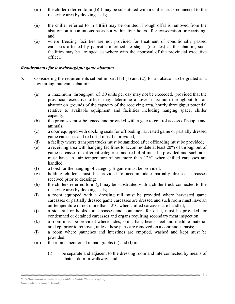- $(m)$  the chiller referred to in  $(l)(i)$  may be substituted with a chiller truck connected to the receiving area by docking seals;
- (n) the chiller referred to in  $(l)(iii)$  may be omitted if rough offal is removed from the abattoir on a continuous basis but within four hours after evisceration or receiving; and
- (o) where freezing facilities are not provided for treatment of conditionally passed carcasses affected by parasitic intermediate stages (measles) at the abattoir, such facilities may be arranged elsewhere with the approval of the provincial executive officer.

#### *Requirements for low-throughput game abattoirs*

- 5. Considering the requirements set out in part II B (1) and (2), for an abattoir to be graded as a low throughput game abattoir –
	- (a) a maximum throughput of 30 units per day may not be exceeded, provided that the provincial executive officer may determine a lower maximum throughput for an abattoir on grounds of the capacity of the receiving area, hourly throughput potential relative to available equipment and facilities including hanging space, chiller capacity;
	- (b) the premises must be fenced and provided with a gate to control access of people and animals;
	- (c) a door equipped with docking seals for offloading harvested game or partially dressed game carcasses and red offal must be provided;
	- (d) a facility where transport trucks must be sanitized after offloading must be provided;
	- (e) a receiving area with hanging facilities to accommodate at least 20% of throughput of game carcasses of different categories and red offal must be provided and such area must have an air temperature of not more than 12°C when chilled carcasses are handled;
	- (f) a hoist for the hanging of category B game must be provided;
	- (g) holding chillers must be provided to accommodate partially dressed carcasses received prior to dressing;
	- (h) the chillers referred to in (g) may be substituted with a chiller truck connected to the receiving area by docking seals;
	- (i) a room equipped with a dressing rail must be provided where harvested game carcasses or partially dressed game carcasses are dressed and such room must have an air temperature of not more than 12°C when chilled carcasses are handled;
	- (j) a side rail or hooks for carcasses and containers for offal, must be provided for condemned or detained carcasses and organs requiring secondary meat inspection;
	- (k) a room must be provided where hides, skins, hair, heads, feet and inedible material are kept prior to removal, unless these parts are removed on a continuous basis;
	- (l) a room where paunches and intestines are emptied, washed and kept must be provided;
	- (m) the rooms mentioned in paragraphs  $(k)$  and  $(l)$  must
		- (i) be separate and adjacent to the dressing room and interconnected by means of a hatch, door or walkway; and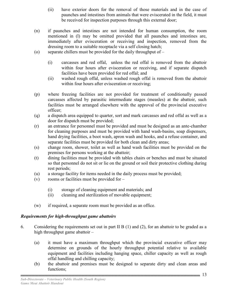- (ii) have exterior doors for the removal of those materials and in the case of paunches and intestines from animals that were eviscerated in the field, it must be received for inspection purposes through this external door;
- (n) if paunches and intestines are not intended for human consumption, the room mentioned in (l) may be omitted provided that all paunches and intestines are, immediately after evisceration or receiving and inspection, removed from the dressing room to a suitable receptacle via a self closing hatch;
- (o) separate chillers must be provided for the daily throughput of
	- (i) carcasses and red offal, unless the red offal is removed from the abattoir within four hours after evisceration or receiving, and if separate dispatch facilities have been provided for red offal; and
	- (ii) washed rough offal, unless washed rough offal is removed from the abattoir within four hours after evisceration or receiving;
- (p) where freezing facilities are not provided for treatment of conditionally passed carcasses affected by parasitic intermediate stages (measles) at the abattoir, such facilities must be arranged elsewhere with the approval of the provincial executive officer;
- (q) a dispatch area equipped to quarter, sort and mark carcasses and red offal as well as a door for dispatch must be provided;
- (r) an entrance for personnel must be provided and must be designed as an ante-chamber for cleaning purposes and must be provided with hand wash-basins, soap dispensers, hand drying facilities, a boot wash, apron wash and hooks, and a refuse container, and separate facilities must be provided for both clean and dirty areas;
- (s) change room, shower, toilet as well as hand wash facilities must be provided on the premises for persons working at the abattoir;
- (t) dining facilities must be provided with tables chairs or benches and must be situated so that personnel do not sit or lie on the ground or soil their protective clothing during rest periods;
- (u) a storage facility for items needed in the daily process must be provided;
- (v) rooms or facilities must be provided for
	- (i) storage of cleaning equipment and materials; and
	- (ii) cleaning and sterilization of movable equipment;
- (w) if required, a separate room must be provided as an office.

## *Requirements for high-throughput game abattoirs*

- 6. Considering the requirements set out in part II B (1) and (2), for an abattoir to be graded as a high throughput game abattoir –
	- (a) it must have a maximum throughput which the provincial executive officer may determine on grounds of the hourly throughput potential relative to available equipment and facilities including hanging space, chiller capacity as well as rough offal handling and chilling capacity;
	- (b) the abattoir and premises must be designed to separate dirty and clean areas and functions;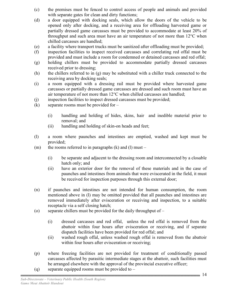- (c) the premises must be fenced to control access of people and animals and provided with separate gates for clean and dirty functions;
- (d) a door equipped with docking seals, which allow the doors of the vehicle to be opened only after docking, and a receiving area for offloading harvested game or partially dressed game carcasses must be provided to accommodate at least 20% of throughput and such area must have an air temperature of not more than 12°C when chilled carcasses are handled;
- (e) a facility where transport trucks must be sanitized after offloading must be provided;
- (f) inspection facilities to inspect received carcasses and correlating red offal must be provided and must include a room for condemned or detained carcasses and red offal;
- (g) holding chillers must be provided to accommodate partially dressed carcasses received prior to dressing;
- (h) the chillers referred to in (g) may be substituted with a chiller truck connected to the receiving area by docking seals;
- (i) a room equipped with a dressing rail must be provided where harvested game carcasses or partially dressed game carcasses are dressed and such room must have an air temperature of not more than 12°C when chilled carcasses are handled;
- (j) inspection facilities to inspect dressed carcasses must be provided;
- $(k)$  separate rooms must be provided for
	- (i) handling and holding of hides, skins, hair and inedible material prior to removal; and
	- (ii) handling and holding of skin-on heads and feet;
- (l) a room where paunches and intestines are emptied, washed and kept must be provided;
- (m) the rooms referred to in paragraphs  $(k)$  and  $(l)$  must
	- (i) be separate and adjacent to the dressing room and interconnected by a closable hatch only; and
	- (ii) have an exterior door for the removal of these materials and in the case of paunches and intestines from animals that were eviscerated in the field, it must be received for inspection purposes through this external door;
- (n) if paunches and intestines are not intended for human consumption, the room mentioned above in (l) may be omitted provided that all paunches and intestines are removed immediately after evisceration or receiving and inspection, to a suitable receptacle via a self closing hatch;
- (o) separate chillers must be provided for the daily throughput of
	- (i) dressed carcasses and red offal, unless the red offal is removed from the abattoir within four hours after evisceration or receiving, and if separate dispatch facilities have been provided for red offal; and
	- (ii) washed rough offal, unless washed rough offal is removed from the abattoir within four hours after evisceration or receiving;
- (p) where freezing facilities are not provided for treatment of conditionally passed carcasses affected by parasitic intermediate stages at the abattoir, such facilities must be arranged elsewhere with the approval of the provincial executive officer;
- (q) separate equipped rooms must be provided to  $-$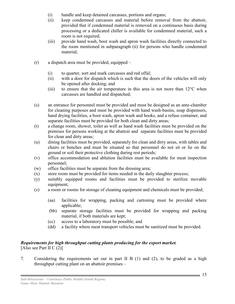- (i) handle and keep detained carcasses, portions and organs;
- (ii) keep condemned carcasses and material before removal from the abattoir, provided that if condemned material is removed on a continuous basis during processing or a dedicated chiller is available for condemned material, such a room is not required;
- (iii) provide hand wash, boot wash and apron wash facilities directly connected to the room mentioned in subparagraph (ii) for persons who handle condemned material;
- (r) a dispatch area must be provided, equipped
	- (i) to quarter, sort and mark carcasses and red offal;
	- (ii) with a door for dispatch which is such that the doors of the vehicles will only be opened after docking; and
	- (iii) to ensure that the air temperature in this area is not more than  $12^{\circ}$ C when carcasses are handled and dispatched;
- (s) an entrance for personnel must be provided and must be designed as an ante-chamber for cleaning purposes and must be provided with hand wash-basins, soap dispensers, hand drying facilities, a boot wash, apron wash and hooks, and a refuse container, and separate facilities must be provided for both clean and dirty areas;
- (t) a change room, shower, toilet as well as hand wash facilities must be provided on the premises for persons working at the abattoir and separate facilities must be provided for clean and dirty areas;
- (u) dining facilities must be provided, separately for clean and dirty areas, with tables and chairs or benches and must be situated so that personnel do not sit or lie on the ground or soil their protective clothing during rest periods;
- (v) office accommodation and ablution facilities must be available for meat inspection personnel;
- (w) office facilities must be separate from the dressing area;
- (x) store room must be provided for items needed in the daily slaughter process;
- (y) suitably equipped rooms and facilities must be provided to sterilize movable equipment;
- (z) a room or rooms for storage of cleaning equipment and chemicals must be provided;
	- (aa) facilities for wrapping, packing and cartoning must be provided where applicable;
	- (bb) separate storage facilities must be provided for wrapping and packing material, if both materials are kept;
	- (cc) access to a laboratory must be possible; and
	- (dd) a facility where meat transport vehicles must be sanitized must be provided.

#### *Requirements for high throughput cutting plants producing for the export market.*  [Also see Part II C  $(2)$ ]

7. Considering the requirements set out in part II B (1) and (2), to be graded as a high throughput cutting plant on an abattoir premises –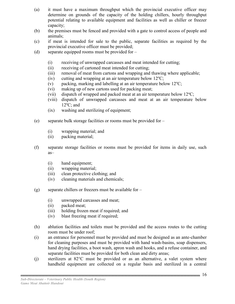- (a) it must have a maximum throughput which the provincial executive officer may determine on grounds of the capacity of the holding chillers, hourly throughput potential relating to available equipment and facilities as well as chiller or freezer capacity;
- (b) the premises must be fenced and provided with a gate to control access of people and animals;
- (c) if meat is intended for sale to the public, separate facilities as required by the provincial executive officer must be provided;
- (d) separate equipped rooms must be provided for
	- (i) receiving of unwrapped carcasses and meat intended for cutting;
	- (ii) receiving of cartoned meat intended for cutting;
	- (iii) removal of meat from cartons and wrapping and thawing where applicable;
	- (iv) cutting and wrapping at an air temperature below  $12^{\circ}$ C;
	- (v) packing, marking and labelling at an air temperature below  $12^{\circ}$ C;
	- (vi) making up of new cartons used for packing meat;
	- (vii) dispatch of wrapped and packed meat at an air temperature below  $12^{\circ}$ C;
	- (viii) dispatch of unwrapped carcasses and meat at an air temperature below  $12^{\circ}$ C; and
	- (ix) washing and sterilizing of equipment;
- (e) separate bulk storage facilities or rooms must be provided for
	- (i) wrapping material; and
	- (ii) packing material;
- (f) separate storage facilities or rooms must be provided for items in daily use, such as–
	- (i) hand equipment;
	- (ii) wrapping material;
	- (iii) clean protective clothing; and
	- (iv) cleaning materials and chemicals;
- (g) separate chillers or freezers must be available for  $-$ 
	- (i) unwrapped carcasses and meat;
	- (ii) packed meat;
	- (iii) holding frozen meat if required; and
	- (iv) blast freezing meat if required;
- (h) ablution facilities and toilets must be provided and the access routes to the cutting room must be under roof;
- (i) an entrance for personnel must be provided and must be designed as an ante-chamber for cleaning purposes and must be provided with hand wash-basins, soap dispensers, hand drying facilities, a boot wash, apron wash and hooks, and a refuse container, and separate facilities must be provided for both clean and dirty areas;
- (j) sterilizers at 82°C must be provided or as an alternative, a valet system where handheld equipment are collected on a regular basis and sterilized in a central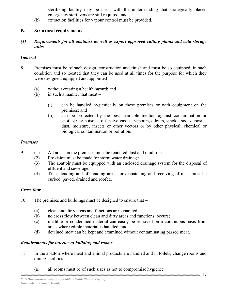sterilizing facility may be used, with the understanding that strategically placed emergency sterilizers are still required; and

(k) extraction facilities for vapour control must be provided.

## **B. Structural requirements**

*(1) Requirements for all abattoirs as well as export approved cutting plants and cold storage units* 

#### *General*

- 8. Premises must be of such design, construction and finish and must be so equipped, in such condition and so located that they can be used at all times for the purpose for which they were designed, equipped and appointed –
	- (a) without creating a health hazard; and
	- (b) in such a manner that meat
		- (i) can be handled hygienically on these premises or with equipment on the premises; and
		- (ii) can be protected by the best available method against contamination or spoilage by poisons, offensive gasses, vapours, odours, smoke, soot deposits, dust, moisture, insects or other vectors or by other physical, chemical or biological contamination or pollution.

## *Premises*

- 9. (1) All areas on the premises must be rendered dust and mud free.
	- (2) Provision must be made for storm water drainage.
	- (3) The abattoir must be equipped with an enclosed drainage system for the disposal of effluent and sewerage.
	- (4) Truck loading and off loading areas for dispatching and receiving of meat must be curbed, paved, drained and roofed.

## *Cross flow*

- 10. The premises and buildings must be designed to ensure that
	- (a) clean and dirty areas and functions are separated;
	- (b) no cross flow between clean and dirty areas and functions, occurs;
	- (c) inedible or condemned material can easily be removed on a continuous basis from areas where edible material is handled; and
	- (d) detained meat can be kept and examined without contaminating passed meat.

## *Requirements for interior of building and rooms*

- 11. In the abattoir where meat and animal products are handled and in toilets, change rooms and dining facilities –
	- (a) all rooms must be of such sizes as not to compromise hygiene;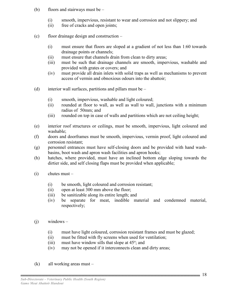- (b) floors and stairways must be
	- (i) smooth, impervious, resistant to wear and corrosion and not slippery; and
	- (ii) free of cracks and open joints;
- (c) floor drainage design and construction
	- (i) must ensure that floors are sloped at a gradient of not less than 1:60 towards drainage points or channels;
	- (ii) must ensure that channels drain from clean to dirty areas;
	- (iii) must be such that drainage channels are smooth, impervious, washable and provided with grates or covers; and
	- (iv) must provide all drain inlets with solid traps as well as mechanisms to prevent access of vermin and obnoxious odours into the abattoir;
- (d) interior wall surfaces, partitions and pillars must be  $-$ 
	- (i) smooth, impervious, washable and light coloured;
	- (ii) rounded at floor to wall, as well as wall to wall, junctions with a minimum radius of 50mm; and
	- (iii) rounded on top in case of walls and partitions which are not ceiling height;
- (e) interior roof structures or ceilings, must be smooth, impervious, light coloured and washable;
- (f) doors and doorframes must be smooth, impervious, vermin proof, light coloured and corrosion resistant;
- (g) personnel entrances must have self-closing doors and be provided with hand washbasins, boot wash and apron wash facilities and apron hooks;
- (h) hatches, where provided, must have an inclined bottom edge sloping towards the dirtier side, and self closing flaps must be provided when applicable;
- (i) chutes must
	- (i) be smooth, light coloured and corrosion resistant;
	- (ii) open at least 300 mm above the floor;
	- (iii) be sanitizable along its entire length; and
	- (iv) be separate for meat, inedible material and condemned material, respectively;
- $(i)$  windows
	- (i) must have light coloured, corrosion resistant frames and must be glazed;
	- (ii) must be fitted with fly screens when used for ventilation;
- (iii) must have window sills that slope at  $45^\circ$ ; and
	- (iv) may not be opened if it interconnects clean and dirty areas;
	- (k) all working areas must –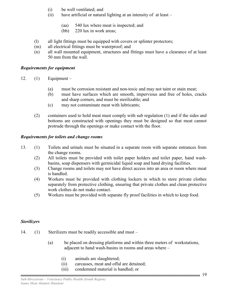- (i) be well ventilated; and
- (ii) have artificial or natural lighting at an intensity of at least
	- (aa) 540 lux where meat is inspected; and
	- (bb) 220 lux in work areas;
- (l) all light fittings must be equipped with covers or splinter protectors;
- (m) all electrical fittings must be waterproof; and
- (n) all wall mounted equipment, structures and fittings must have a clearance of at least 50 mm from the wall.

#### *Requirements for equipment*

- 12.  $(1)$  Equipment
	- (a) must be corrosion resistant and non-toxic and may not taint or stain meat;
	- (b) must have surfaces which are smooth, impervious and free of holes, cracks and sharp corners, and must be sterilizable; and
	- (c) may not contaminate meat with lubricants;
	- (2) containers used to hold meat must comply with sub regulation (1) and if the sides and bottoms are constructed with openings they must be designed so that meat cannot protrude through the openings or make contact with the floor.

#### *Requirements for toilets and change rooms*

- 13. (1) Toilets and urinals must be situated in a separate room with separate entrances from the change rooms.
	- (2) All toilets must be provided with toilet paper holders and toilet paper, hand washbasins, soap dispensers with germicidal liquid soap and hand drying facilities.
	- (3) Change rooms and toilets may not have direct access into an area or room where meat is handled.
	- (4) Workers must be provided with clothing lockers in which to store private clothes separately from protective clothing, ensuring that private clothes and clean protective work clothes do not make contact.
	- (5) Workers must be provided with separate fly proof facilities in which to keep food.

#### *Sterilizers*

- 14. (1) Sterilizers must be readily accessible and must
	- (a) be placed on dressing platforms and within three meters of workstations, adjacent to hand wash-basins in rooms and areas where –
		- (i) animals are slaughtered;
		- (ii) carcasses, meat and offal are detained;
		- (iii) condemned material is handled; or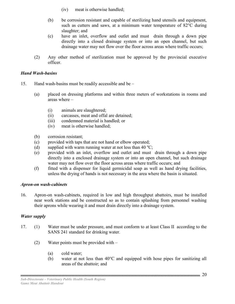- (iv) meat is otherwise handled;
- (b) be corrosion resistant and capable of sterilizing hand utensils and equipment, such as cutters and saws, at a minimum water temperature of 82°C during slaughter; and
- (c) have an inlet, overflow and outlet and must drain through a down pipe directly into a closed drainage system or into an open channel, but such drainage water may not flow over the floor across areas where traffic occurs;
- (2) Any other method of sterilization must be approved by the provincial executive officer.

#### *Hand Wash-basins*

- 15. Hand wash-basins must be readily accessible and be
	- (a) placed on dressing platforms and within three meters of workstations in rooms and areas where –
		- (i) animals are slaughtered;
		- (ii) carcasses, meat and offal are detained;
		- (iii) condemned material is handled; or
		- (iv) meat is otherwise handled;
	- (b) corrosion resistant;
	- (c) provided with taps that are not hand or elbow operated;
	- (d) supplied with warm running water at not less than 40  $\mathrm{^{\circ}C}$ ;
	- (e) provided with an inlet, overflow and outlet and must drain through a down pipe directly into a enclosed drainage system or into an open channel, but such drainage water may not flow over the floor across areas where traffic occurs; and
	- (f) fitted with a dispenser for liquid germicidal soap as well as hand drying facilities, unless the drying of hands is not necessary in the area where the basin is situated.

#### *Apron-on wash-cabinets*

16. Apron-on wash-cabinets, required in low and high throughput abattoirs, must be installed near work stations and be constructed so as to contain splashing from personnel washing their aprons while wearing it and must drain directly into a drainage system.

#### *Water supply*

- 17. (1) Water must be under pressure, and must conform to at least Class II according to the SANS 241 standard for drinking water.
	- (2) Water points must be provided with
		- (a) cold water;
		- (b) water at not less than 40°C and equipped with hose pipes for sanitizing all areas of the abattoir; and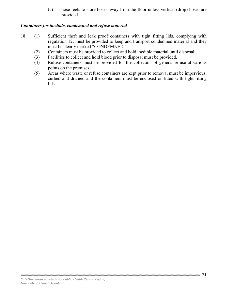(c) hose reels to store hoses away from the floor unless vertical (drop) hoses are provided.

## *Containers for inedible, condemned and refuse material*

- 18. (1) Sufficient theft and leak proof containers with tight fitting lids, complying with regulation 12, must be provided to keep and transport condemned material and they must be clearly marked "CONDEMNED".
	- (2) Containers must be provided to collect and hold inedible material until disposal.
	- (3) Facilities to collect and hold blood prior to disposal must be provided.
	- (4) Refuse containers must be provided for the collection of general refuse at various points on the premises.
	- (5) Areas where waste or refuse containers are kept prior to removal must be impervious, curbed and drained and the containers must be enclosed or fitted with tight fitting lids.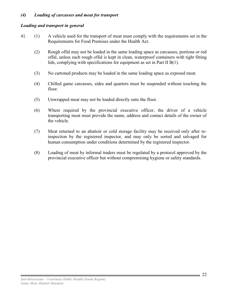#### *(4) Loading of carcasses and meat for transport*

#### *Loading and transport in general*

- 41. (1) A vehicle used for the transport of meat must comply with the requirements set in the Requirements for Food Premises under the Health Act.
	- (2) Rough offal may not be loaded in the same loading space as carcasses, portions or red offal, unless such rough offal is kept in clean, waterproof containers with tight fitting lids, complying with specifications for equipment as set in Part II B(1).
	- (3) No cartoned products may be loaded in the same loading space as exposed meat.
	- (4) Chilled game carcasses, sides and quarters must be suspended without touching the floor.
	- (5) Unwrapped meat may not be loaded directly onto the floor.
	- (6) Where required by the provincial executive officer, the driver of a vehicle transporting meat must provide the name, address and contact details of the owner of the vehicle.
	- (7) Meat returned to an abattoir or cold storage facility may be received only after reinspection by the registered inspector, and may only be sorted and salvaged for human consumption under conditions determined by the registered inspector.
	- (8) Loading of meat by informal traders must be regulated by a protocol approved by the provincial executive officer but without compromising hygiene or safety standards.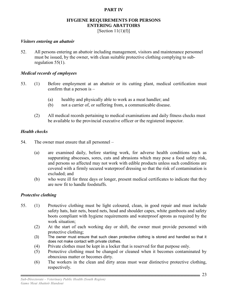## **PART IV**

## **HYGIENE REQUIREMENTS FOR PERSONS ENTERING ABATTOIRS**

[Section  $11(1)(f)$ ]

#### *Visitors entering an abattoir*

52. All persons entering an abattoir including management, visitors and maintenance personnel must be issued, by the owner, with clean suitable protective clothing complying to subregulation 55(1).

#### *Medical records of employees*

- 53. (1) Before employment at an abattoir or its cutting plant, medical certification must confirm that a person is –
	- (a) healthy and physically able to work as a meat handler; and
	- (b) not a carrier of, or suffering from, a communicable disease.
	- (2) All medical records pertaining to medical examinations and daily fitness checks must be available to the provincial executive officer or the registered inspector.

#### *Health checks*

- 54. The owner must ensure that all personnel
	- (a) are examined daily, before starting work, for adverse health conditions such as suppurating abscesses, sores, cuts and abrasions which may pose a food safety risk, and persons so affected may not work with edible products unless such conditions are covered with a firmly secured waterproof dressing so that the risk of contamination is excluded; and
	- (b) who were ill for three days or longer, present medical certificates to indicate that they are now fit to handle foodstuffs.

#### *Protective clothing*

- 55. (1) Protective clothing must be light coloured, clean, in good repair and must include safety hats, hair nets, beard nets, head and shoulder capes, white gumboots and safety boots compliant with hygiene requirements and waterproof aprons as required by the work situation;
	- (2) At the start of each working day or shift, the owner must provide personnel with protective clothing;
	- (3) The owner must ensure that such clean protective clothing is stored and handled so that it does not make contact with private clothes.
	- (4) Private clothes must be kept in a locker that is reserved for that purpose only.
	- (5) Protective clothing must be changed or cleaned when it becomes contaminated by obnoxious matter or becomes dirty.
	- (6) The workers in the clean and dirty areas must wear distinctive protective clothing, respectively.